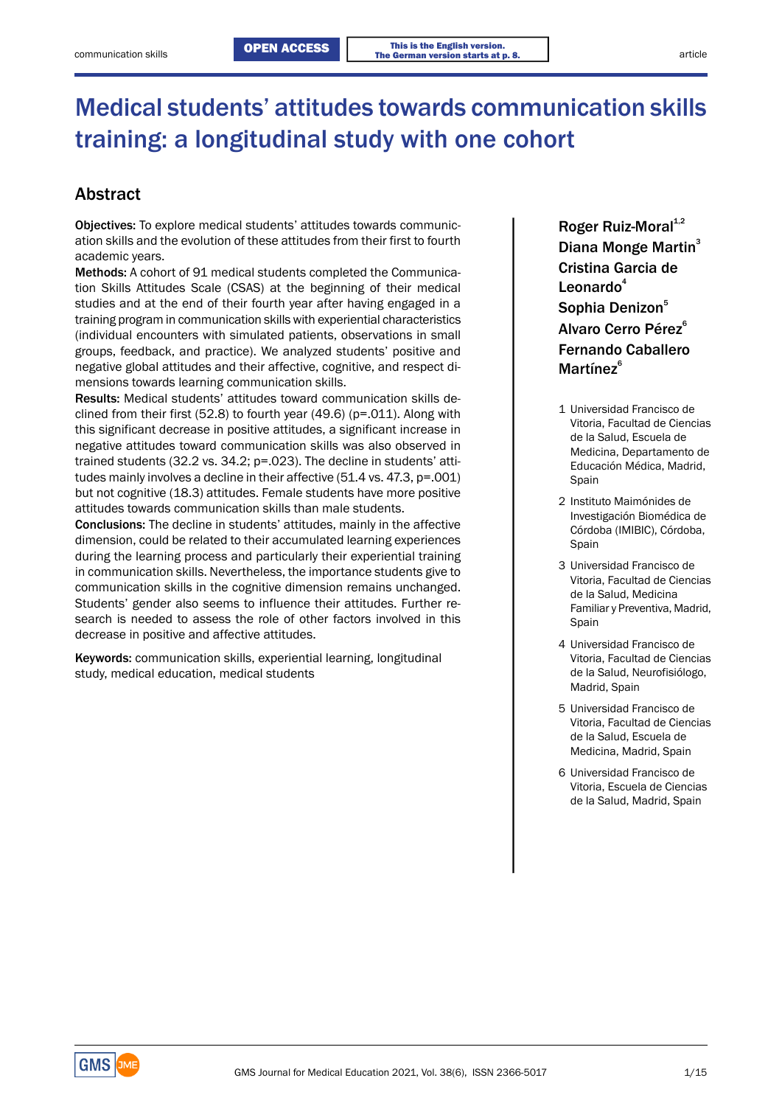# Medical students' attitudes towards communication skills training: a longitudinal study with one cohort

## Abstract

Objectives: To explore medical students' attitudes towards communication skills and the evolution of these attitudes from their first to fourth academic years.

Methods: A cohort of 91 medical students completed the Communication Skills Attitudes Scale (CSAS) at the beginning of their medical studies and at the end of their fourth year after having engaged in a Sophia Denizon<sup>5</sup> training program in communication skills with experiential characteristics **Alvaro Cerro Pérez<sup>6</sup>** (individual encounters with simulated patients, observations in small groups, feedback, and practice). We analyzed students' positive and negative global attitudes and their affective, cognitive, and respect dimensions towards learning communication skills.

Results: Medical students' attitudes toward communication skills declined from their first (52.8) to fourth year (49.6) (p=.011). Along with 1 Universidad Francisco de clined from their first (52.8) to fourth year (49.6) (p=.011). Along with Vitoria, Facultad de Ciencias Vitoria, Facultad de Ciencias this significant decrease in positive attitudes, a significant increase in de la Salud, Escuela de negative attitudes toward communication skills was also observed in de la Salud, Escuela de M trained students (32.2 vs. 34.2; p=.023). The decline in students' atti- Educación Médica, Madrid, tudes mainly involves a decline in their affective  $(51.4 \text{ vs. } 47.3, \text{ p} = .001)$  Spain but not cognitive (18.3) attitudes. Female students have more positive attitudes towards communication skills than male students.<br>
2 Instituto Maimónides de *2* Instituto Maimónides de *Proposition Stephendica* de *Reserved investigación* Biomédica de

Conclusions: The decline in students' attitudes, mainly in the affective dimension, could be related to their accumulated learning experiences during the learning process and particularly their experiential training In communication skills. Nevertheless, the importance students give to entity of the communication skills. Nevertheless, the importance students give to entity of the Vitoria, Facultad de Ciencias communication skills in the cognitive dimension remains unchanged.<br>
de la Salud, Medicina Students' gender also seems to influence their attitudes. Further re-<br>Familiar y Preventiva, Madrid, search is needed to assess the role of other factors involved in this spain decrease in positive and affective attitudes.

Keywords: communication skills, experiential learning, longitudinal Vitoria, Facultad de Ciencias study, medical education, medical students de la Salud, Neurofisiólogo, de la Salud, Neurofisiólogo,

Roger Ruiz-Moral $1,2$ Diana Monge Martin<sup>3</sup> Cristina Garcia de Leonardo $4$ Fernando Caballero Martínez<sup>6</sup>

- 
- Córdoba (IMIBIC), Córdoba, Spain
- 3 Universidad Francisco de
- 4 Universidad Francisco de Madrid, Spain
- 5 Universidad Francisco de Vitoria, Facultad de Ciencias de la Salud, Escuela de Medicina, Madrid, Spain
- 6 Universidad Francisco de Vitoria, Escuela de Ciencias de la Salud, Madrid, Spain

**GMS**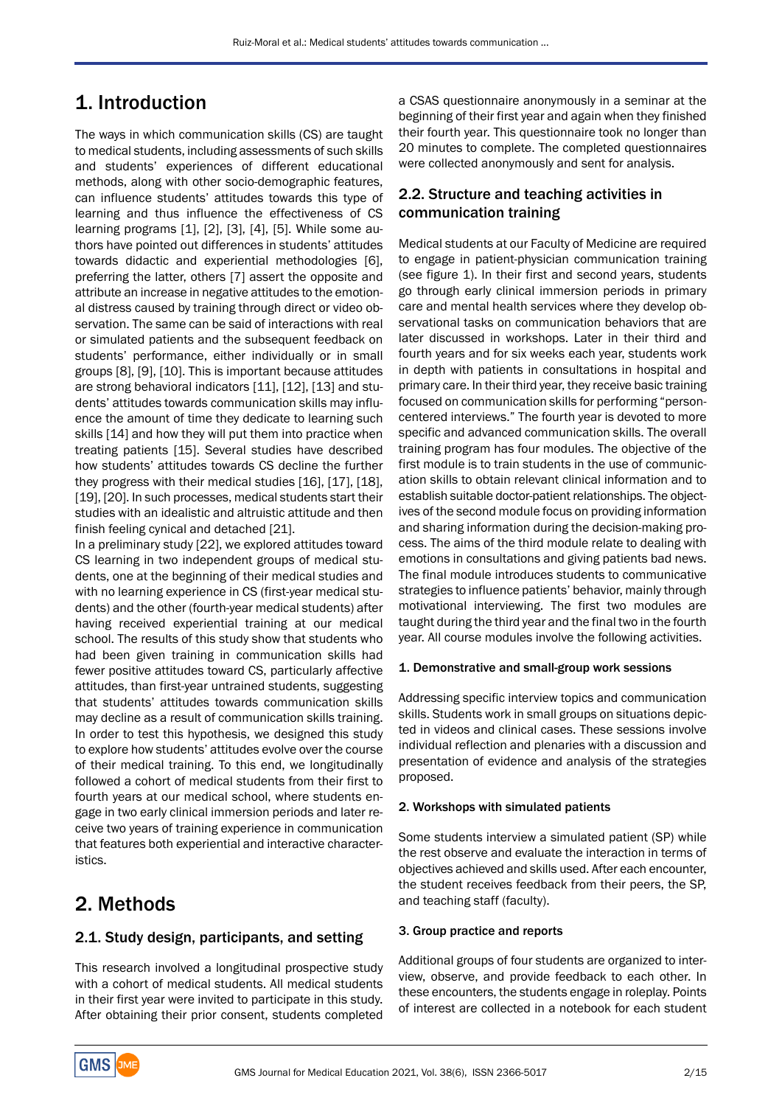# 1. Introduction

The ways in which communication skills (CS) are taught to medical students, including assessments of such skills and students' experiences of different educational methods, along with other socio-demographic features, can influence students' attitudes towards this type of learning and thus influence the effectiveness of CS learning programs [1], [2], [3], [4], [5]. While some authors have pointed out differences in students' attitudes towards didactic and experiential methodologies [6], preferring the latter, others [7] assert the opposite and attribute an increase in negative attitudes to the emotional distress caused by training through direct or video observation. The same can be said of interactions with real or simulated patients and the subsequent feedback on students' performance, either individually or in small groups [8], [9], [10]. This is important because attitudes are strong behavioral indicators [11], [12], [13] and students' attitudes towards communication skills may influence the amount of time they dedicate to learning such skills [14] and how they will put them into practice when treating patients [15]. Several studies have described how students' attitudes towards CS decline the further they progress with their medical studies [16], [17], [18], [19], [20]. In such processes, medical students start their studies with an idealistic and altruistic attitude and then finish feeling cynical and detached [21].

In a preliminary study [22], we explored attitudes toward CS learning in two independent groups of medical students, one at the beginning of their medical studies and with no learning experience in CS (first-year medical students) and the other (fourth-year medical students) after having received experiential training at our medical school. The results of this study show that students who had been given training in communication skills had fewer positive attitudes toward CS, particularly affective attitudes, than first-year untrained students, suggesting that students' attitudes towards communication skills may decline as a result of communication skills training. In order to test this hypothesis, we designed this study to explore how students' attitudes evolve over the course of their medical training. To this end, we longitudinally followed a cohort of medical students from their first to fourth years at our medical school, where students engage in two early clinical immersion periods and later receive two years of training experience in communication that features both experiential and interactive characteristics.

## 2. Methods

### 2.1. Study design, participants, and setting

This research involved a longitudinal prospective study with a cohort of medical students. All medical students in their first year were invited to participate in this study. After obtaining their prior consent, students completed

a CSAS questionnaire anonymously in a seminar at the beginning of their first year and again when they finished their fourth year. This questionnaire took no longer than 20 minutes to complete. The completed questionnaires were collected anonymously and sent for analysis.

## 2.2. Structure and teaching activities in communication training

Medical students at our Faculty of Medicine are required to engage in patient-physician communication training (see figure 1). In their first and second years, students go through early clinical immersion periods in primary care and mental health services where they develop observational tasks on communication behaviors that are later discussed in workshops. Later in their third and fourth years and for six weeks each year, students work in depth with patients in consultations in hospital and primary care. In their third year, they receive basic training focused on communication skills for performing "personcentered interviews." The fourth year is devoted to more specific and advanced communication skills. The overall training program has four modules. The objective of the first module is to train students in the use of communication skills to obtain relevant clinical information and to establish suitable doctor-patient relationships. The objectives of the second module focus on providing information and sharing information during the decision-making process. The aims of the third module relate to dealing with emotions in consultations and giving patients bad news. The final module introduces students to communicative strategies to influence patients' behavior, mainly through motivational interviewing. The first two modules are taught during the third year and the final two in the fourth year. All course modules involve the following activities.

### 1. Demonstrative and small-group work sessions

Addressing specific interview topics and communication skills. Students work in small groups on situations depicted in videos and clinical cases. These sessions involve individual reflection and plenaries with a discussion and presentation of evidence and analysis of the strategies proposed.

### 2. Workshops with simulated patients

Some students interview a simulated patient (SP) while the rest observe and evaluate the interaction in terms of objectives achieved and skills used. After each encounter, the student receives feedback from their peers, the SP, and teaching staff (faculty).

### 3. Group practice and reports

Additional groups of four students are organized to interview, observe, and provide feedback to each other. In these encounters, the students engage in roleplay. Points of interest are collected in a notebook for each student

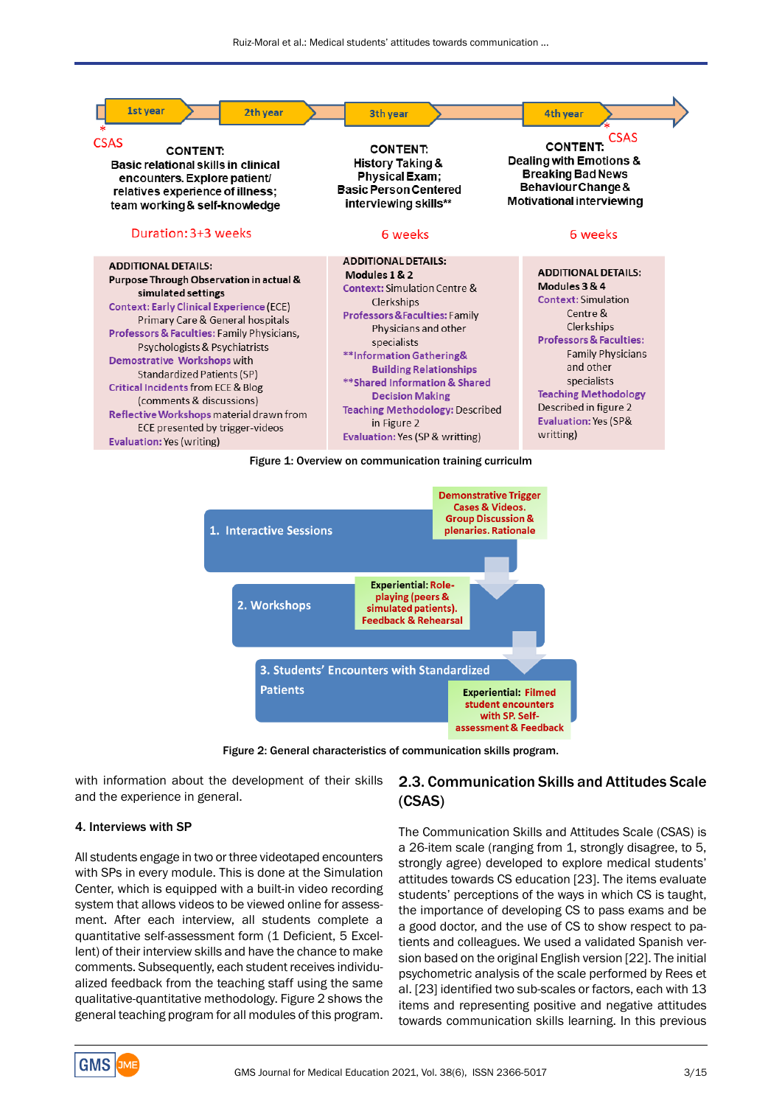



Figure 2: General characteristics of communication skills program.

with information about the development of their skills and the experience in general.

#### 4. Interviews with SP

All students engage in two or three videotaped encounters with SPs in every module. This is done at the Simulation Center, which is equipped with a built-in video recording system that allows videos to be viewed online for assessment. After each interview, all students complete a quantitative self-assessment form (1 Deficient, 5 Excellent) of their interview skills and have the chance to make comments. Subsequently, each student receives individualized feedback from the teaching staff using the same qualitative-quantitative methodology. Figure 2 shows the general teaching program for all modules of this program.

### 2.3. Communication Skills and Attitudes Scale (CSAS)

The Communication Skills and Attitudes Scale (CSAS) is a 26-item scale (ranging from 1, strongly disagree, to 5, strongly agree) developed to explore medical students' attitudes towards CS education [23]. The items evaluate students' perceptions of the ways in which CS is taught, the importance of developing CS to pass exams and be a good doctor, and the use of CS to show respect to patients and colleagues. We used a validated Spanish version based on the original English version [22]. The initial psychometric analysis of the scale performed by Rees et al. [23] identified two sub-scales or factors, each with 13 items and representing positive and negative attitudes towards communication skills learning. In this previous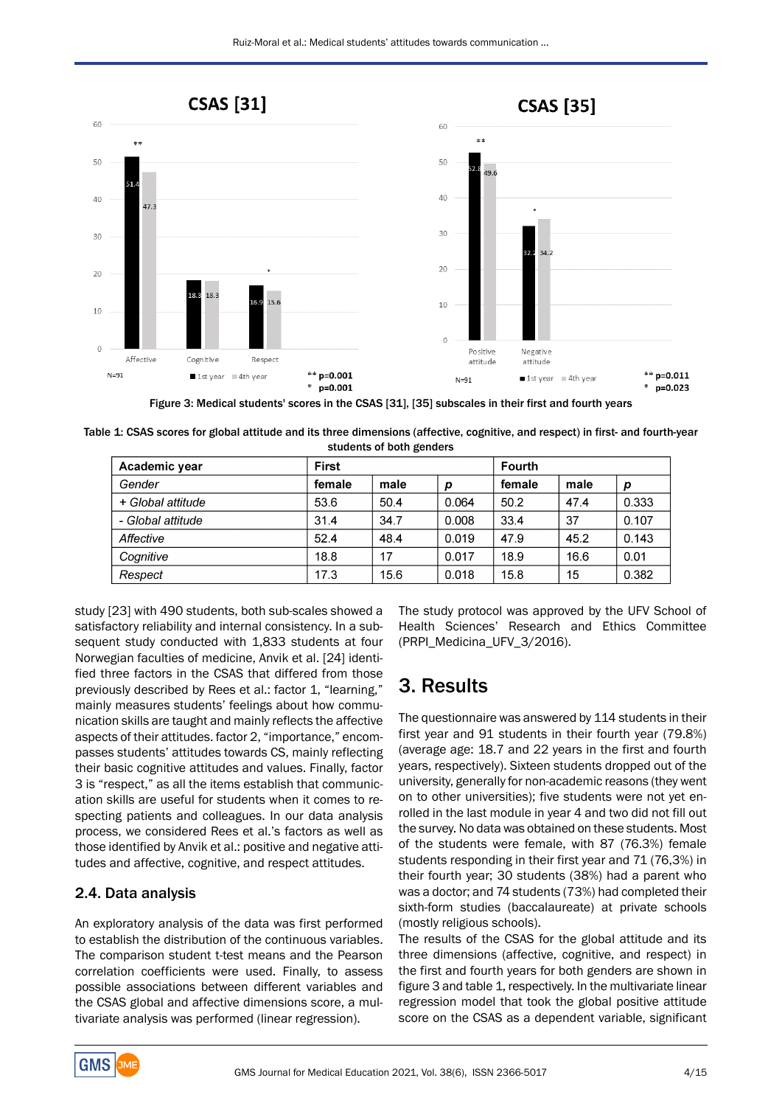

Figure 3: Medical students' scores in the CSAS [31], [35] subscales in their first and fourth years

Table 1: CSAS scores for global attitude and its three dimensions (affective, cognitive, and respect) in first- and fourth-year students of both genders

| Academic year     | First  |      |       | <b>Fourth</b> |      |       |
|-------------------|--------|------|-------|---------------|------|-------|
| Gender            | female | male | D     | female        | male | p     |
| + Global attitude | 53.6   | 50.4 | 0.064 | 50.2          | 47.4 | 0.333 |
| - Global attitude | 31.4   | 34.7 | 0.008 | 33.4          | 37   | 0.107 |
| Affective         | 52.4   | 48.4 | 0.019 | 47.9          | 45.2 | 0.143 |
| Cognitive         | 18.8   | 17   | 0.017 | 18.9          | 16.6 | 0.01  |
| Respect           | 17.3   | 15.6 | 0.018 | 15.8          | 15   | 0.382 |

study [23] with 490 students, both sub-scales showed a satisfactory reliability and internal consistency. In a subsequent study conducted with 1,833 students at four Norwegian faculties of medicine, Anvik et al. [24] identified three factors in the CSAS that differed from those previously described by Rees et al.: factor 1, "learning," mainly measures students' feelings about how communication skills are taught and mainly reflects the affective aspects of their attitudes. factor 2, "importance," encompasses students' attitudes towards CS, mainly reflecting their basic cognitive attitudes and values. Finally, factor 3 is "respect," as all the items establish that communication skills are useful for students when it comes to respecting patients and colleagues. In our data analysis process, we considered Rees et al.'s factors as well as those identified by Anvik et al.: positive and negative attitudes and affective, cognitive, and respect attitudes.

### 2.4. Data analysis

An exploratory analysis of the data was first performed to establish the distribution of the continuous variables. The comparison student t-test means and the Pearson correlation coefficients were used. Finally, to assess possible associations between different variables and the CSAS global and affective dimensions score, a multivariate analysis was performed (linear regression).

The study protocol was approved by the UFV School of Health Sciences' Research and Ethics Committee (PRPI\_Medicina\_UFV\_3/2016).

# 3. Results

The questionnaire was answered by 114 students in their first year and 91 students in their fourth year (79.8%) (average age: 18.7 and 22 years in the first and fourth years, respectively). Sixteen students dropped out of the university, generally for non-academic reasons (they went on to other universities); five students were not yet enrolled in the last module in year 4 and two did not fill out the survey. No data was obtained on these students. Most of the students were female, with 87 (76.3%) female students responding in their first year and 71 (76,3%) in their fourth year; 30 students (38%) had a parent who was a doctor; and 74 students (73%) had completed their sixth-form studies (baccalaureate) at private schools (mostly religious schools).

The results of the CSAS for the global attitude and its three dimensions (affective, cognitive, and respect) in the first and fourth years for both genders are shown in figure 3 and table 1, respectively. In the multivariate linear regression model that took the global positive attitude score on the CSAS as a dependent variable, significant

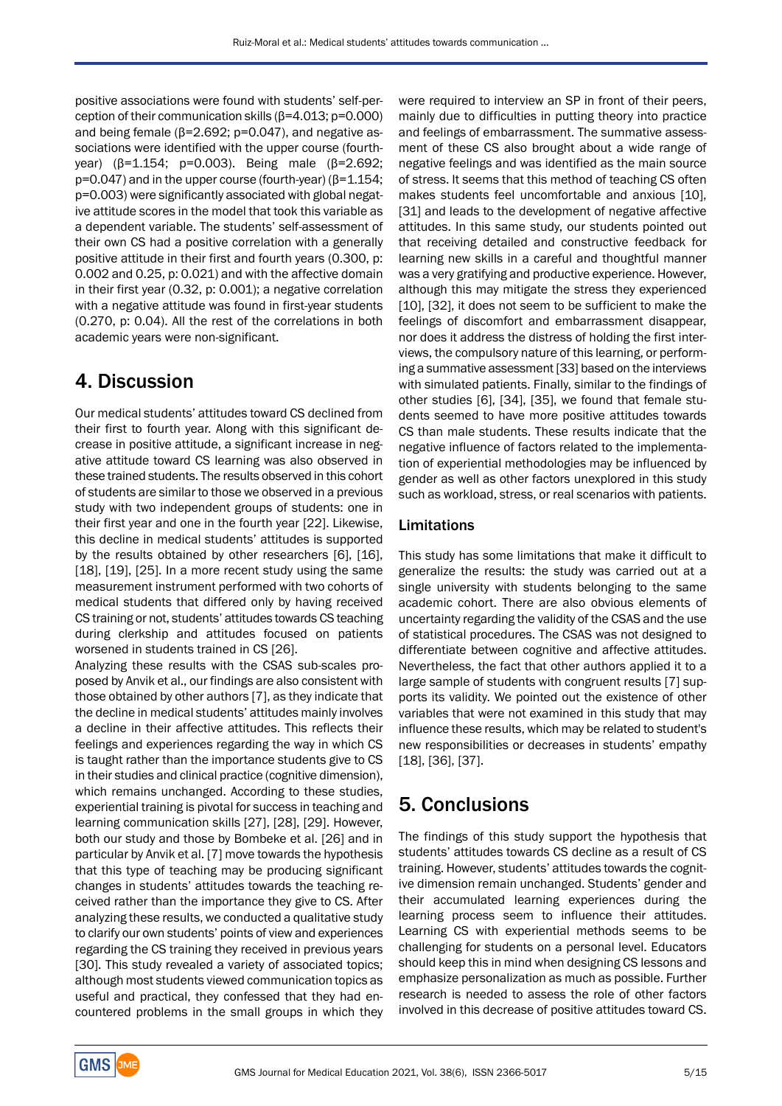positive associations were found with students' self-perception of their communication skills  $(β=4.013; p=0.000)$ and being female ( $β=2.692$ ;  $p=0.047$ ), and negative associations were identified with the upper course (fourthyear) (β=1.154; p=0.003). Being male (β=2.692; p=0.047) and in the upper course (fourth-year) (β=1.154; p=0.003) were significantly associated with global negative attitude scores in the model that took this variable as a dependent variable. The students' self-assessment of their own CS had a positive correlation with a generally positive attitude in their first and fourth years (0.300, p: 0.002 and 0.25, p: 0.021) and with the affective domain in their first year (0.32, p: 0.001); a negative correlation with a negative attitude was found in first-year students (0.270, p: 0.04). All the rest of the correlations in both academic years were non-significant.

## 4. Discussion

Our medical students' attitudes toward CS declined from their first to fourth year. Along with this significant decrease in positive attitude, a significant increase in negative attitude toward CS learning was also observed in these trained students. The results observed in this cohort of students are similar to those we observed in a previous study with two independent groups of students: one in their first year and one in the fourth year [22]. Likewise, this decline in medical students' attitudes is supported by the results obtained by other researchers [6], [16], [18], [19], [25]. In a more recent study using the same measurement instrument performed with two cohorts of medical students that differed only by having received CS training or not, students' attitudes towards CS teaching during clerkship and attitudes focused on patients worsened in students trained in CS [26].

Analyzing these results with the CSAS sub-scales proposed by Anvik et al., our findings are also consistent with those obtained by other authors [7], as they indicate that the decline in medical students' attitudes mainly involves a decline in their affective attitudes. This reflects their feelings and experiences regarding the way in which CS is taught rather than the importance students give to CS in their studies and clinical practice (cognitive dimension), which remains unchanged. According to these studies, experiential training is pivotal for success in teaching and learning communication skills [27], [28], [29]. However, both our study and those by Bombeke et al. [26] and in particular by Anvik et al. [7] move towards the hypothesis that this type of teaching may be producing significant changes in students' attitudes towards the teaching received rather than the importance they give to CS. After analyzing these results, we conducted a qualitative study to clarify our own students' points of view and experiences regarding the CS training they received in previous years [30]. This study revealed a variety of associated topics; although most students viewed communication topics as useful and practical, they confessed that they had encountered problems in the small groups in which they

were required to interview an SP in front of their peers, mainly due to difficulties in putting theory into practice and feelings of embarrassment. The summative assessment of these CS also brought about a wide range of negative feelings and was identified as the main source of stress. It seems that this method of teaching CS often makes students feel uncomfortable and anxious [10], [31] and leads to the development of negative affective attitudes. In this same study, our students pointed out that receiving detailed and constructive feedback for learning new skills in a careful and thoughtful manner was a very gratifying and productive experience. However, although this may mitigate the stress they experienced [10], [32], it does not seem to be sufficient to make the feelings of discomfort and embarrassment disappear, nor does it address the distress of holding the first interviews, the compulsory nature of this learning, or performing a summative assessment [33] based on the interviews with simulated patients. Finally, similar to the findings of other studies [6], [34], [35], we found that female students seemed to have more positive attitudes towards CS than male students. These results indicate that the negative influence of factors related to the implementation of experiential methodologies may be influenced by gender as well as other factors unexplored in this study such as workload, stress, or real scenarios with patients.

## Limitations

This study has some limitations that make it difficult to generalize the results: the study was carried out at a single university with students belonging to the same academic cohort. There are also obvious elements of uncertainty regarding the validity of the CSAS and the use of statistical procedures. The CSAS was not designed to differentiate between cognitive and affective attitudes. Nevertheless, the fact that other authors applied it to a large sample of students with congruent results [7] supports its validity. We pointed out the existence of other variables that were not examined in this study that may influence these results, which may be related to student's new responsibilities or decreases in students' empathy [18], [36], [37].

## 5. Conclusions

The findings of this study support the hypothesis that students' attitudes towards CS decline as a result of CS training. However, students' attitudes towards the cognitive dimension remain unchanged. Students' gender and their accumulated learning experiences during the learning process seem to influence their attitudes. Learning CS with experiential methods seems to be challenging for students on a personal level. Educators should keep this in mind when designing CS lessons and emphasize personalization as much as possible. Further research is needed to assess the role of other factors involved in this decrease of positive attitudes toward CS.

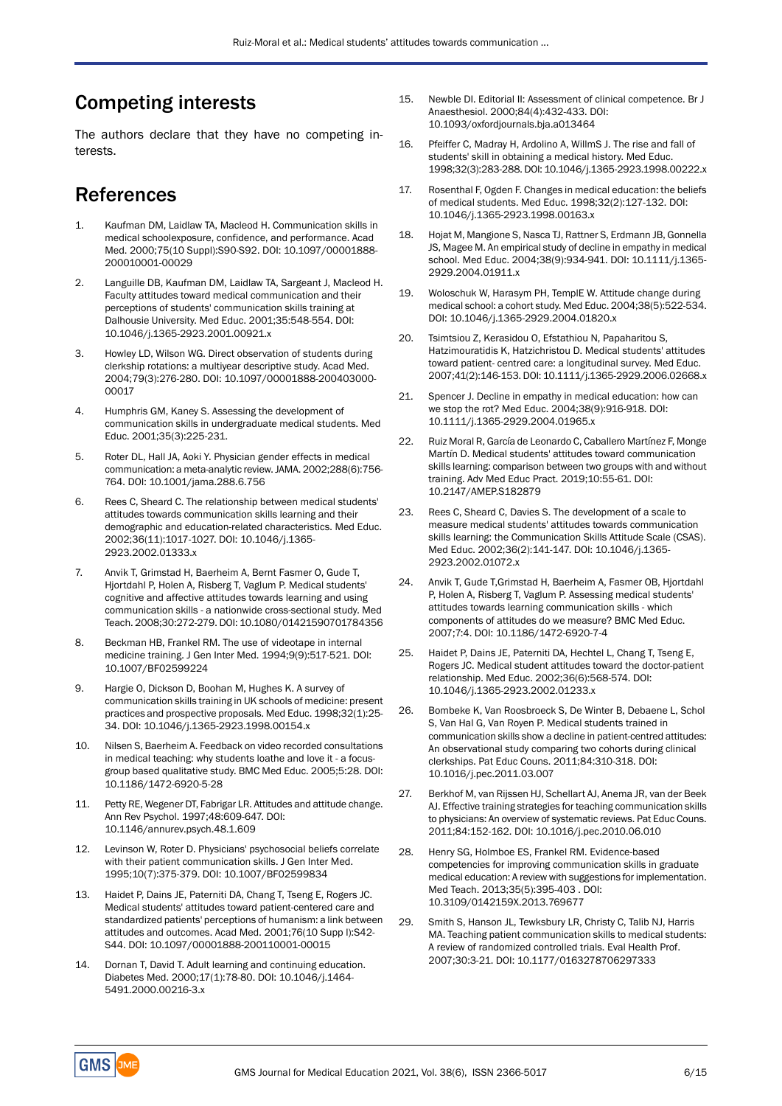# Competing interests

The authors declare that they have no competing interests.

# References

- 1. Kaufman DM, Laidlaw TA, Macleod H. Communication skills in medical schoolexposure, confidence, and performance. Acad Med. 2000;75(10 Suppl):S90-S92. DOI: 10.1097/00001888- 200010001-00029
- 2. Languille DB, Kaufman DM, Laidlaw TA, Sargeant J, Macleod H. Faculty attitudes toward medical communication and their perceptions of students' communication skills training at Dalhousie University. Med Educ. 2001;35:548-554. DOI: 10.1046/j.1365-2923.2001.00921.x
- 3. Howley LD, Wilson WG. Direct observation of students during clerkship rotations: a multiyear descriptive study. Acad Med. 2004;79(3):276-280. DOI: 10.1097/00001888-200403000- 00017
- 4. Humphris GM, Kaney S. Assessing the development of communication skills in undergraduate medical students. Med Educ. 2001;35(3):225-231.
- 5. Roter DL, Hall JA, Aoki Y. Physician gender effects in medical communication: a meta-analytic review.JAMA. 2002;288(6):756- 764. DOI: 10.1001/jama.288.6.756
- 6. Rees C, Sheard C. The relationship between medical students' attitudes towards communication skills learning and their demographic and education-related characteristics. Med Educ. 2002;36(11):1017-1027. DOI: 10.1046/j.1365- 2923.2002.01333.x
- 7. Anvik T, Grimstad H, Baerheim A, Bernt Fasmer O, Gude T, Hjortdahl P, Holen A, Risberg T, Vaglum P. Medical students' cognitive and affective attitudes towards learning and using communication skills - a nationwide cross-sectional study. Med Teach. 2008;30:272-279. DOI: 10.1080/01421590701784356
- 8. Beckman HB, Frankel RM. The use of videotape in internal medicine training. J Gen Inter Med. 1994;9(9):517-521. DOI: 10.1007/BF02599224
- 9. Hargie O, Dickson D, Boohan M, Hughes K. A survey of communication skills training in UK schools of medicine: present practices and prospective proposals. Med Educ. 1998;32(1):25- 34. DOI: 10.1046/j.1365-2923.1998.00154.x
- 10. Nilsen S, Baerheim A. Feedback on video recorded consultations in medical teaching: why students loathe and love it - a focusgroup based qualitative study. BMC Med Educ. 2005;5:28. DOI: 10.1186/1472-6920-5-28
- 11. Petty RE, Wegener DT, Fabrigar LR. Attitudes and attitude change. Ann Rev Psychol. 1997;48:609-647. DOI: 10.1146/annurev.psych.48.1.609
- 12. Levinson W, Roter D. Physicians' psychosocial beliefs correlate with their patient communication skills. J Gen Inter Med. 1995;10(7):375-379. DOI: 10.1007/BF02599834
- 13. Haidet P, Dains JE, Paterniti DA, Chang T, Tseng E, Rogers JC. Medical students' attitudes toward patient-centered care and standardized patients' perceptions of humanism: a link between attitudes and outcomes. Acad Med. 2001;76(10 Supp l):S42- S44. DOI: 10.1097/00001888-200110001-00015
- 14. Dornan T, David T. Adult learning and continuing education. Diabetes Med. 2000;17(1):78-80. DOI: 10.1046/j.1464- 5491.2000.00216-3.x
- 15. Newble DI. Editorial II: Assessment of clinical competence. Br J Anaesthesiol. 2000;84(4):432-433. DOI: 10.1093/oxfordjournals.bja.a013464
- 16. Pfeiffer C, Madray H, Ardolino A, WillmS J. The rise and fall of students' skill in obtaining a medical history. Med Educ. 1998;32(3):283-288. DOI: 10.1046/j.1365-2923.1998.00222.x
- 17. Rosenthal F, Ogden F. Changes in medical education: the beliefs of medical students. Med Educ. 1998;32(2):127-132. DOI: 10.1046/j.1365-2923.1998.00163.x
- 18. Hojat M, Mangione S, Nasca TJ, Rattner S, Erdmann JB, Gonnella JS, Magee M. An empirical study of decline in empathy in medical school. Med Educ. 2004;38(9):934-941. DOI: 10.1111/j.1365- 2929.2004.01911.x
- 19. Woloschuk W, Harasym PH, TemplE W. Attitude change during medical school: a cohort study. Med Educ. 2004;38(5):522-534. DOI: 10.1046/j.1365-2929.2004.01820.x
- 20. Tsimtsiou Z, Kerasidou O, Efstathiou N, Papaharitou S, Hatzimouratidis K, Hatzichristou D. Medical students' attitudes toward patient- centred care: a longitudinal survey. Med Educ. 2007;41(2):146-153. DOI: 10.1111/j.1365-2929.2006.02668.x
- 21. Spencer J. Decline in empathy in medical education: how can we stop the rot? Med Educ. 2004;38(9):916-918. DOI: 10.1111/j.1365-2929.2004.01965.x
- 22. Ruiz Moral R, García de Leonardo C, Caballero Martínez F, Monge Martín D. Medical students' attitudes toward communication skills learning: comparison between two groups with and without training. Adv Med Educ Pract. 2019;10:55-61. DOI: 10.2147/AMEP.S182879
- 23. Rees C, Sheard C, Davies S. The development of a scale to measure medical students' attitudes towards communication skills learning: the Communication Skills Attitude Scale (CSAS). Med Educ. 2002;36(2):141-147. DOI: 10.1046/j.1365- 2923.2002.01072.x
- 24. Anvik T, Gude T,Grimstad H, Baerheim A, Fasmer OB, Hjortdahl P, Holen A, Risberg T, Vaglum P. Assessing medical students' attitudes towards learning communication skills - which components of attitudes do we measure? BMC Med Educ. 2007;7:4. DOI: 10.1186/1472-6920-7-4
- 25. Haidet P, Dains JE, Paterniti DA, Hechtel L, Chang T, Tseng E, Rogers JC. Medical student attitudes toward the doctor-patient relationship. Med Educ. 2002;36(6):568-574. DOI: 10.1046/j.1365-2923.2002.01233.x
- 26. Bombeke K, Van Roosbroeck S, De Winter B, Debaene L, Schol S, Van Hal G, Van Royen P. Medical students trained in communication skills show a decline in patient-centred attitudes: An observational study comparing two cohorts during clinical clerkships. Pat Educ Couns. 2011;84:310-318. DOI: 10.1016/j.pec.2011.03.007
- 27. Berkhof M, van Rijssen HJ, Schellart AJ, Anema JR, van der Beek AJ. Effective training strategies for teaching communication skills to physicians: An overview of systematic reviews. Pat Educ Couns. 2011;84:152-162. DOI: 10.1016/j.pec.2010.06.010
- 28. Henry SG, Holmboe ES, Frankel RM. Evidence-based competencies for improving communication skills in graduate medical education: A review with suggestions for implementation. Med Teach. 2013;35(5):395-403 . DOI: 10.3109/0142159X.2013.769677
- 29. Smith S, Hanson JL, Tewksbury LR, Christy C, Talib NJ, Harris MA. Teaching patient communication skills to medical students: A review of randomized controlled trials. Eval Health Prof. 2007;30:3-21. DOI: 10.1177/0163278706297333

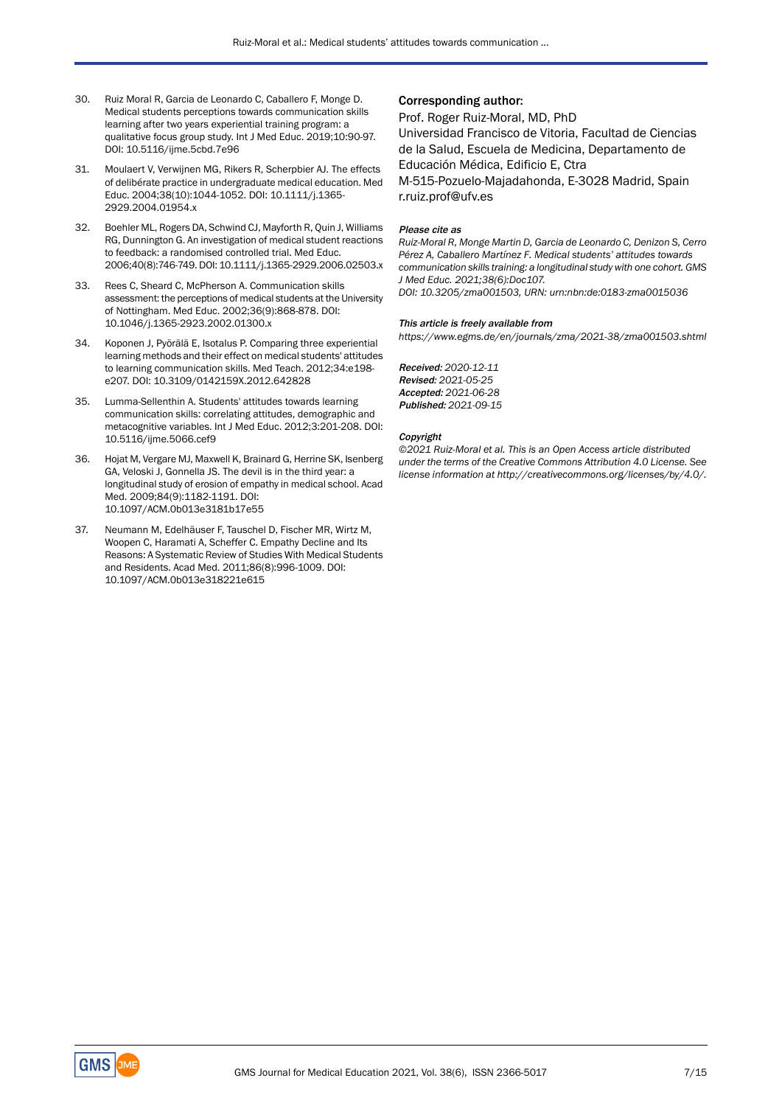- 30. Ruiz Moral R, Garcia de Leonardo C, Caballero F, Monge D. Medical students perceptions towards communication skills learning after two years experiential training program: a qualitative focus group study. Int J Med Educ. 2019;10:90-97. DOI: 10.5116/ijme.5cbd.7e96
- 31. Moulaert V, Verwijnen MG, Rikers R, Scherpbier AJ. The effects of delibérate practice in undergraduate medical education. Med Educ. 2004;38(10):1044-1052. DOI: 10.1111/j.1365- 2929.2004.01954.x
- 32. Boehler ML, Rogers DA, Schwind CJ, Mayforth R, Quin J, Williams RG, Dunnington G. An investigation of medical student reactions to feedback: a randomised controlled trial. Med Educ. 2006;40(8):746-749. DOI: 10.1111/j.1365-2929.2006.02503.x
- 33. Rees C, Sheard C, McPherson A. Communication skills assessment: the perceptions of medical students at the University of Nottingham. Med Educ. 2002;36(9):868-878. DOI: 10.1046/j.1365-2923.2002.01300.x
- 34. Koponen J, Pyörälä E, Isotalus P. Comparing three experiential learning methods and their effect on medical students' attitudes to learning communication skills. Med Teach. 2012;34:e198 e207. DOI: 10.3109/0142159X.2012.642828
- 35. Lumma-Sellenthin A. Students' attitudes towards learning communication skills: correlating attitudes, demographic and metacognitive variables. Int J Med Educ. 2012;3:201-208. DOI: 10.5116/ijme.5066.cef9
- 36. Hojat M, Vergare MJ, Maxwell K, Brainard G, Herrine SK, Isenberg GA, Veloski J, Gonnella JS. The devil is in the third year: a longitudinal study of erosion of empathy in medical school. Acad Med. 2009;84(9):1182-1191. DOI: 10.1097/ACM.0b013e3181b17e55
- 37. Neumann M, Edelhäuser F, Tauschel D, Fischer MR, Wirtz M, Woopen C, Haramati A, Scheffer C. Empathy Decline and Its Reasons: A Systematic Review of Studies With Medical Students and Residents. Acad Med. 2011;86(8):996-1009. DOI: 10.1097/ACM.0b013e318221e615

### Corresponding author:

### Prof. Roger Ruiz-Moral, MD, PhD

Universidad Francisco de Vitoria, Facultad de Ciencias de la Salud, Escuela de Medicina, Departamento de Educación Médica, Edificio E, Ctra M-515-Pozuelo-Majadahonda, E-3028 Madrid, Spain r.ruiz.prof@ufv.es

#### Please cite as

*Ruiz-Moral R, Monge Martin D, Garcia de Leonardo C, Denizon S, Cerro Pérez A, Caballero Martínez F. Medical students' attitudes towards communication skills training: a longitudinal study with one cohort. GMS J Med Educ. 2021;38(6):Doc107.*

*DOI: 10.3205/zma001503, URN: urn:nbn:de:0183-zma0015036*

#### This article is freely available from

*https://www.egms.de/en/journals/zma/2021-38/zma001503.shtml*

Received: *2020-12-11* Revised: *2021-05-25* Accepted: *2021-06-28* Published: *2021-09-15*

#### Copyright

*©2021 Ruiz-Moral et al. This is an Open Access article distributed under the terms of the Creative Commons Attribution 4.0 License. See license information at http://creativecommons.org/licenses/by/4.0/.*

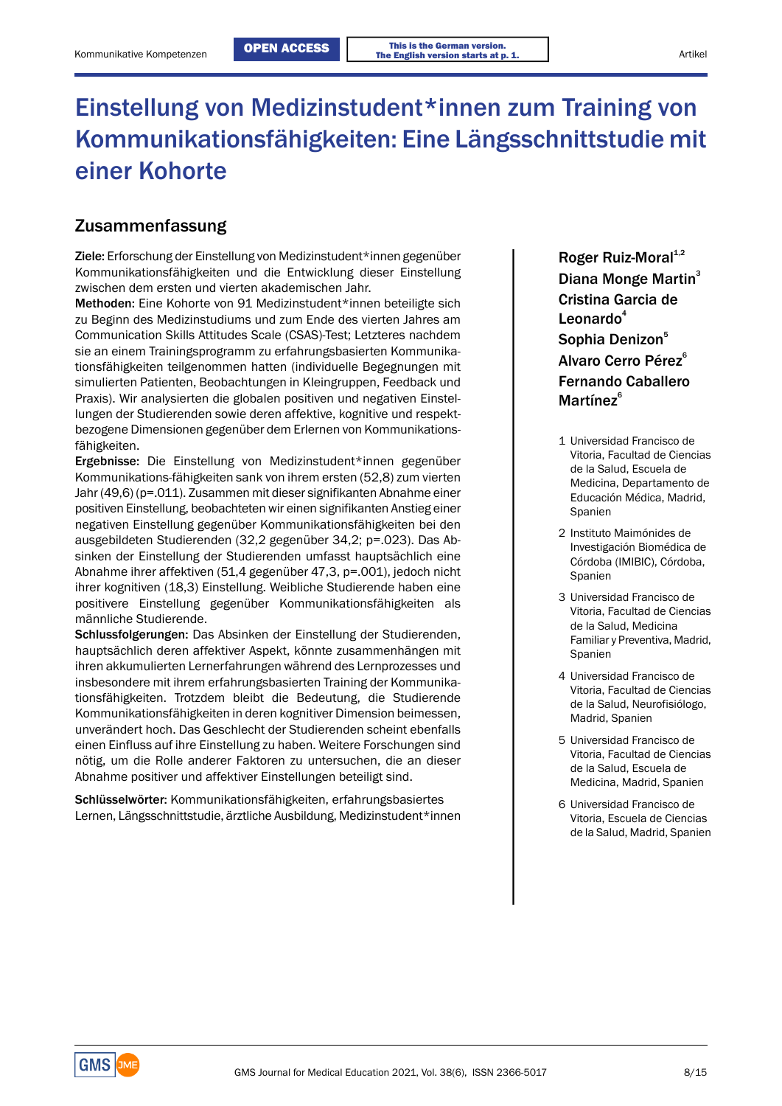# Einstellung von Medizinstudent\*innen zum Training von Kommunikationsfähigkeiten: Eine Längsschnittstudie mit einer Kohorte

## Zusammenfassung

Ziele: Erforschung der Einstellung von Medizinstudent\*innen gegenüber Kommunikationsfähigkeiten und die Entwicklung dieser Einstellung zwischen dem ersten und vierten akademischen Jahr.

Methoden: Eine Kohorte von 91 Medizinstudent\*innen beteiligte sich zu Beginn des Medizinstudiums und zum Ende des vierten Jahres am Communication Skills Attitudes Scale (CSAS)-Test; Letzteres nachdem **Sophia Denizon**<sup>5</sup> sie an einem Trainingsprogramm zu erfahrungsbasierten Kommunika-<br>Alvaro Cerro Pérez<sup>6</sup> tionsfähigkeiten teilgenommen hatten (individuelle Begegnungen mit simulierten Patienten, Beobachtungen in Kleingruppen, Feedback und Praxis). Wir analysierten die globalen positiven und negativen Einstellungen der Studierenden sowie deren affektive, kognitive und respektbezogene Dimensionen gegenüber dem Erlernen von Kommunikationsfähigkeiten. <sup>1</sup> Universidad Francisco de

Ergebnisse: Die Einstellung von Medizinstudent\*innen gegenüber Kommunikations-fähigkeiten sank von ihrem ersten (52,8) zum vierten Jahr (49,6) (p=.011). Zusammen mit dieser signifikanten Abnahme einer Educación Médica, Madrid, positiven Einstellung, beobachteten wir einen signifikanten Anstieg einer Frankspanien negativen Einstellung gegenüber Kommunikationsfähigkeiten bei den Investigación Biomédica de ausgebildeten Studierenden (32,2 gegenüber 34,2; p=.023). Das Absinken der Einstellung der Studierenden umfasst hauptsächlich eine Córdoba (IMIBIC), Córdoba, Spanien Abnahme ihrer affektiven (51,4 gegenüber 47,3, p=.001), jedoch nicht ihrer kognitiven (18,3) Einstellung. Weibliche Studierende haben eine positivere Einstellung gegenüber Kommunikationsfähigkeiten als and als and als männliche Studierende.<br>The Ciencias positive and all the Ciencias product of the Ciencias

männliche Studierende.<br>Schlussfolgerungen: Das Absinken der Einstellung der Studierenden, auch der Bablud, Medicina hauptsächlich deren affektiver Aspekt, könnte zusammenhängen mit ihren akkumulierten Lernerfahrungen während des Lernprozesses und Vitoria, Facultad de Ciencias insbesondere mit ihrem erfahrungsbasierten Training der Kommunikationsfähigkeiten. Trotzdem bleibt die Bedeutung, die Studierende auch de la Salud, Neurofisiólogo, Kommunikationsfähigkeiten in deren kognitiver Dimension beimessen, Madrid, Spanien unverändert hoch. Das Geschlecht der Studierenden scheint ebenfalls einen Einfluss auf ihre Einstellung zu haben. Weitere Forschungen sind nötig, um die Rolle anderer Faktoren zu untersuchen, die an dieser Abnahme positiver und affektiver Einstellungen beteiligt sind.<br>Abnahme positiver und affektiver Einstellungen beteiligt sind. Medicine Medicine Medicine Medicine

Schlüsselwörter: Kommunikationsfähigkeiten, erfahrungsbasiertes Lernen, Längsschnittstudie, ärztliche Ausbildung, Medizinstudent\*innen Roger Ruiz-Moral $1,2$ Diana Monge Martin<sup>3</sup> Cristina Garcia de Leonardo<sup>4</sup> Fernando Caballero Martínez<sup>6</sup>

- de la Salud, Escuela de Medicina, Departamento de
- 2 Instituto Maimónides de
- 3 Universidad Francisco de Familiar y Preventiva, Madrid, Spanien
- 4 Universidad Francisco de
- 5 Universidad Francisco de Vitoria, Facultad de Ciencias Medicina, Madrid, Spanien
- 6 Universidad Francisco de Vitoria, Escuela de Ciencias de la Salud, Madrid, Spanien

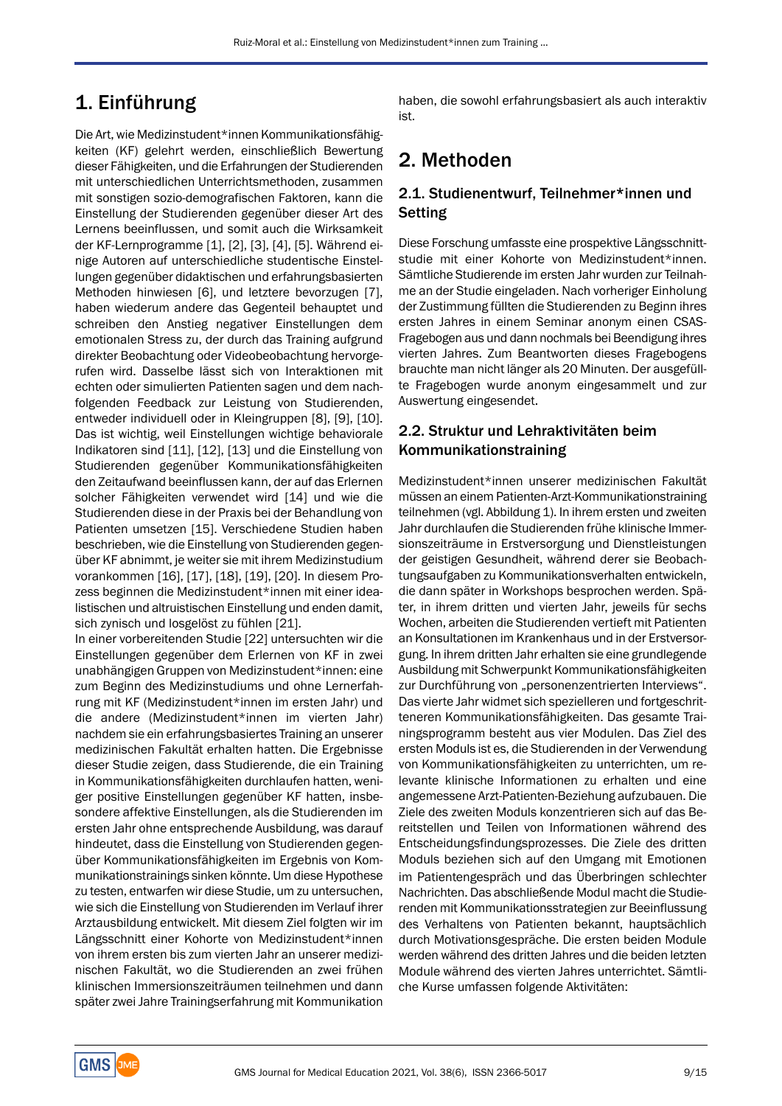# 1. Einführung

Die Art, wie Medizinstudent\*innen Kommunikationsfähigkeiten (KF) gelehrt werden, einschließlich Bewertung dieser Fähigkeiten, und die Erfahrungen der Studierenden mit unterschiedlichen Unterrichtsmethoden, zusammen mit sonstigen sozio-demografischen Faktoren, kann die Einstellung der Studierenden gegenüber dieser Art des Lernens beeinflussen, und somit auch die Wirksamkeit der KF-Lernprogramme [1], [2], [3], [4], [5]. Während einige Autoren auf unterschiedliche studentische Einstellungen gegenüber didaktischen und erfahrungsbasierten Methoden hinwiesen [6], und letztere bevorzugen [7], haben wiederum andere das Gegenteil behauptet und schreiben den Anstieg negativer Einstellungen dem emotionalen Stress zu, der durch das Training aufgrund direkter Beobachtung oder Videobeobachtung hervorgerufen wird. Dasselbe lässt sich von Interaktionen mit echten oder simulierten Patienten sagen und dem nachfolgenden Feedback zur Leistung von Studierenden, entweder individuell oder in Kleingruppen [8], [9], [10]. Das ist wichtig, weil Einstellungen wichtige behaviorale Indikatoren sind [11], [12], [13] und die Einstellung von Studierenden gegenüber Kommunikationsfähigkeiten den Zeitaufwand beeinflussen kann, der auf das Erlernen solcher Fähigkeiten verwendet wird [14] und wie die Studierenden diese in der Praxis bei der Behandlung von Patienten umsetzen [15]. Verschiedene Studien haben beschrieben, wie die Einstellung von Studierenden gegenüber KF abnimmt, je weiter sie mit ihrem Medizinstudium vorankommen [16], [17], [18], [19], [20]. In diesem Prozess beginnen die Medizinstudent\*innen mit einer idealistischen und altruistischen Einstellung und enden damit, sich zynisch und losgelöst zu fühlen [21].

In einer vorbereitenden Studie [22] untersuchten wir die Einstellungen gegenüber dem Erlernen von KF in zwei unabhängigen Gruppen von Medizinstudent\*innen: eine zum Beginn des Medizinstudiums und ohne Lernerfahrung mit KF (Medizinstudent\*innen im ersten Jahr) und die andere (Medizinstudent\*innen im vierten Jahr) nachdem sie ein erfahrungsbasiertes Training an unserer medizinischen Fakultät erhalten hatten. Die Ergebnisse dieser Studie zeigen, dass Studierende, die ein Training in Kommunikationsfähigkeiten durchlaufen hatten, weniger positive Einstellungen gegenüber KF hatten, insbesondere affektive Einstellungen, als die Studierenden im ersten Jahr ohne entsprechende Ausbildung, was darauf hindeutet, dass die Einstellung von Studierenden gegenüber Kommunikationsfähigkeiten im Ergebnis von Kommunikationstrainings sinken könnte. Um diese Hypothese zu testen, entwarfen wir diese Studie, um zu untersuchen, wie sich die Einstellung von Studierenden im Verlauf ihrer Arztausbildung entwickelt. Mit diesem Ziel folgten wir im Längsschnitt einer Kohorte von Medizinstudent\*innen von ihrem ersten bis zum vierten Jahr an unserer medizinischen Fakultät, wo die Studierenden an zwei frühen klinischen Immersionszeiträumen teilnehmen und dann später zwei Jahre Trainingserfahrung mit Kommunikation

haben, die sowohl erfahrungsbasiert als auch interaktiv ist.

# 2. Methoden

## 2.1. Studienentwurf, Teilnehmer\*innen und Setting

Diese Forschung umfasste eine prospektive Längsschnittstudie mit einer Kohorte von Medizinstudent\*innen. Sämtliche Studierende im ersten Jahr wurden zur Teilnahme an der Studie eingeladen. Nach vorheriger Einholung der Zustimmung füllten die Studierenden zu Beginn ihres ersten Jahres in einem Seminar anonym einen CSAS-Fragebogen aus und dann nochmals bei Beendigung ihres vierten Jahres. Zum Beantworten dieses Fragebogens brauchte man nicht länger als 20 Minuten. Der ausgefüllte Fragebogen wurde anonym eingesammelt und zur Auswertung eingesendet.

## 2.2. Struktur und Lehraktivitäten beim Kommunikationstraining

Medizinstudent\*innen unserer medizinischen Fakultät müssen an einem Patienten-Arzt-Kommunikationstraining teilnehmen (vgl. Abbildung 1). In ihrem ersten und zweiten Jahr durchlaufen die Studierenden frühe klinische Immersionszeiträume in Erstversorgung und Dienstleistungen der geistigen Gesundheit, während derer sie Beobachtungsaufgaben zu Kommunikationsverhalten entwickeln, die dann später in Workshops besprochen werden. Später, in ihrem dritten und vierten Jahr, jeweils für sechs Wochen, arbeiten die Studierenden vertieft mit Patienten an Konsultationen im Krankenhaus und in der Erstversorgung. In ihrem dritten Jahr erhalten sie eine grundlegende Ausbildung mit Schwerpunkt Kommunikationsfähigkeiten zur Durchführung von "personenzentrierten Interviews". Das vierte Jahr widmet sich spezielleren und fortgeschritteneren Kommunikationsfähigkeiten. Das gesamte Trainingsprogramm besteht aus vier Modulen. Das Ziel des ersten Moduls ist es, die Studierenden in der Verwendung von Kommunikationsfähigkeiten zu unterrichten, um relevante klinische Informationen zu erhalten und eine angemessene Arzt-Patienten-Beziehung aufzubauen. Die Ziele des zweiten Moduls konzentrieren sich auf das Bereitstellen und Teilen von Informationen während des Entscheidungsfindungsprozesses. Die Ziele des dritten Moduls beziehen sich auf den Umgang mit Emotionen im Patientengespräch und das Überbringen schlechter Nachrichten. Das abschließende Modul macht die Studierenden mit Kommunikationsstrategien zur Beeinflussung des Verhaltens von Patienten bekannt, hauptsächlich durch Motivationsgespräche. Die ersten beiden Module werden während des dritten Jahres und die beiden letzten Module während des vierten Jahres unterrichtet. Sämtliche Kurse umfassen folgende Aktivitäten:

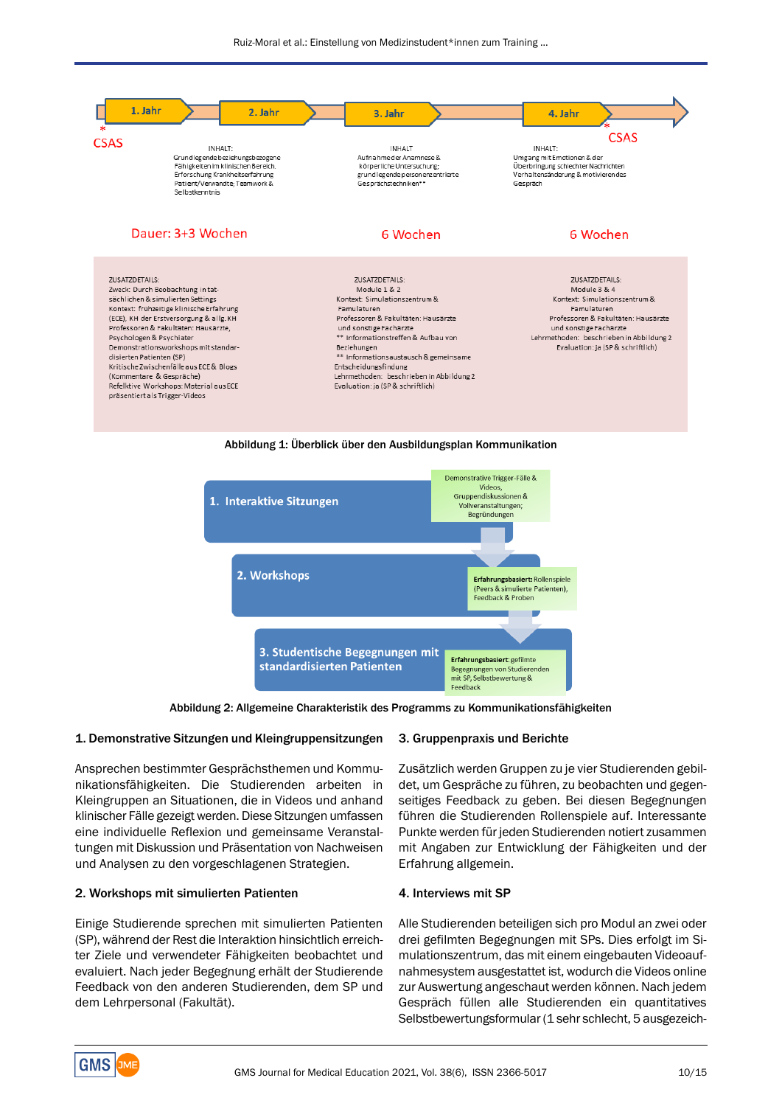

Abbildung 1: Überblick über den Ausbildungsplan Kommunikation



Abbildung 2: Allgemeine Charakteristik des Programms zu Kommunikationsfähigkeiten

### 1. Demonstrative Sitzungen und Kleingruppensitzungen

Ansprechen bestimmter Gesprächsthemen und Kommunikationsfähigkeiten. Die Studierenden arbeiten in Kleingruppen an Situationen, die in Videos und anhand klinischer Fälle gezeigt werden. Diese Sitzungen umfassen eine individuelle Reflexion und gemeinsame Veranstaltungen mit Diskussion und Präsentation von Nachweisen und Analysen zu den vorgeschlagenen Strategien.

#### 2. Workshops mit simulierten Patienten

Einige Studierende sprechen mit simulierten Patienten (SP), während der Rest die Interaktion hinsichtlich erreichter Ziele und verwendeter Fähigkeiten beobachtet und evaluiert. Nach jeder Begegnung erhält der Studierende Feedback von den anderen Studierenden, dem SP und dem Lehrpersonal (Fakultät).

#### 3. Gruppenpraxis und Berichte

Zusätzlich werden Gruppen zu je vier Studierenden gebildet, um Gespräche zu führen, zu beobachten und gegenseitiges Feedback zu geben. Bei diesen Begegnungen führen die Studierenden Rollenspiele auf. Interessante Punkte werden für jeden Studierenden notiert zusammen mit Angaben zur Entwicklung der Fähigkeiten und der Erfahrung allgemein.

#### 4. Interviews mit SP

Alle Studierenden beteiligen sich pro Modul an zwei oder drei gefilmten Begegnungen mit SPs. Dies erfolgt im Simulationszentrum, das mit einem eingebauten Videoaufnahmesystem ausgestattet ist, wodurch die Videos online zur Auswertung angeschaut werden können. Nach jedem Gespräch füllen alle Studierenden ein quantitatives Selbstbewertungsformular (1 sehr schlecht, 5 ausgezeich-

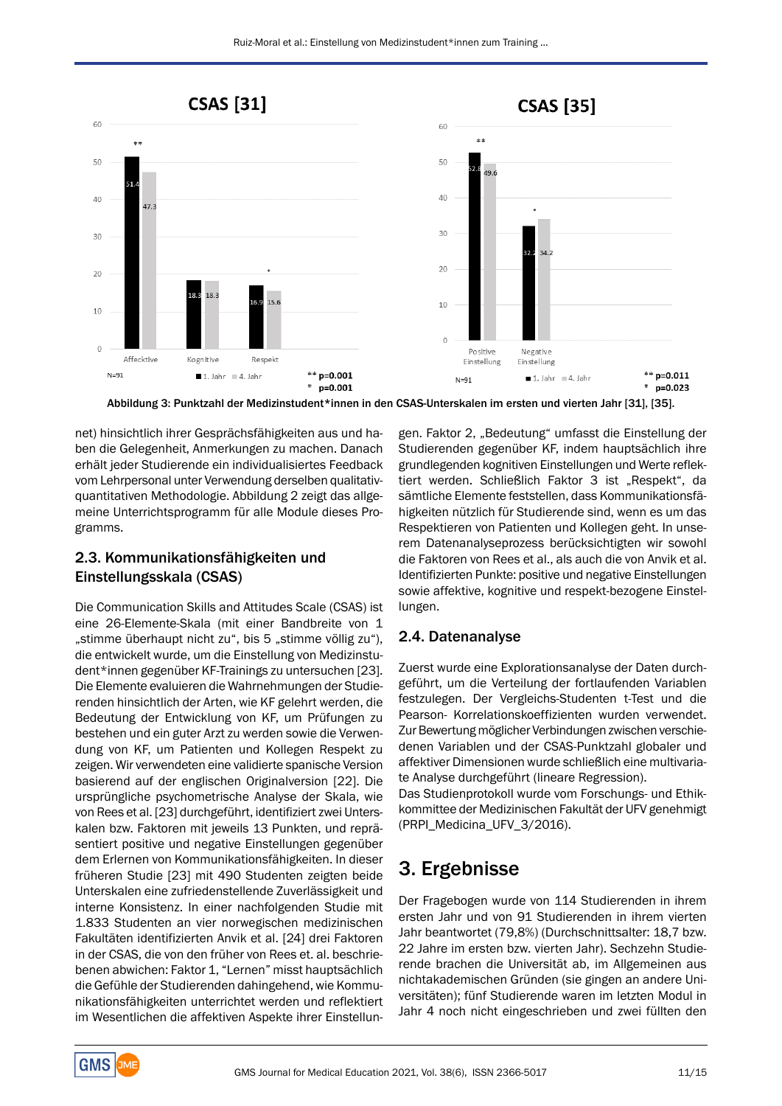

Abbildung 3: Punktzahl der Medizinstudent\*innen in den CSAS-Unterskalen im ersten und vierten Jahr [31], [35].

net) hinsichtlich ihrer Gesprächsfähigkeiten aus und haben die Gelegenheit, Anmerkungen zu machen. Danach erhält jeder Studierende ein individualisiertes Feedback vom Lehrpersonal unter Verwendung derselben qualitativquantitativen Methodologie. Abbildung 2 zeigt das allgemeine Unterrichtsprogramm für alle Module dieses Programms.

## 2.3. Kommunikationsfähigkeiten und Einstellungsskala (CSAS)

Die Communication Skills and Attitudes Scale (CSAS) ist eine 26-Elemente-Skala (mit einer Bandbreite von 1 "stimme überhaupt nicht zu", bis 5 "stimme völlig zu"), die entwickelt wurde, um die Einstellung von Medizinstudent\*innen gegenüber KF-Trainings zu untersuchen [23]. Die Elemente evaluieren die Wahrnehmungen der Studierenden hinsichtlich der Arten, wie KF gelehrt werden, die Bedeutung der Entwicklung von KF, um Prüfungen zu bestehen und ein guter Arzt zu werden sowie die Verwendung von KF, um Patienten und Kollegen Respekt zu zeigen. Wir verwendeten eine validierte spanische Version basierend auf der englischen Originalversion [22]. Die ursprüngliche psychometrische Analyse der Skala, wie von Rees et al. [23] durchgeführt, identifiziert zwei Unterskalen bzw. Faktoren mit jeweils 13 Punkten, und repräsentiert positive und negative Einstellungen gegenüber dem Erlernen von Kommunikationsfähigkeiten. In dieser früheren Studie [23] mit 490 Studenten zeigten beide Unterskalen eine zufriedenstellende Zuverlässigkeit und interne Konsistenz. In einer nachfolgenden Studie mit 1.833 Studenten an vier norwegischen medizinischen Fakultäten identifizierten Anvik et al. [24] drei Faktoren in der CSAS, die von den früher von Rees et. al. beschriebenen abwichen: Faktor 1, "Lernen" misst hauptsächlich die Gefühle der Studierenden dahingehend, wie Kommunikationsfähigkeiten unterrichtet werden und reflektiert im Wesentlichen die affektiven Aspekte ihrer Einstellun-

gen. Faktor 2, "Bedeutung" umfasst die Einstellung der Studierenden gegenüber KF, indem hauptsächlich ihre grundlegenden kognitiven Einstellungen und Werte reflektiert werden. Schließlich Faktor 3 ist "Respekt", da sämtliche Elemente feststellen, dass Kommunikationsfähigkeiten nützlich für Studierende sind, wenn es um das Respektieren von Patienten und Kollegen geht. In unserem Datenanalyseprozess berücksichtigten wir sowohl die Faktoren von Rees et al., als auch die von Anvik et al. Identifizierten Punkte: positive und negative Einstellungen sowie affektive, kognitive und respekt-bezogene Einstellungen.

## 2.4. Datenanalyse

Zuerst wurde eine Explorationsanalyse der Daten durchgeführt, um die Verteilung der fortlaufenden Variablen festzulegen. Der Vergleichs-Studenten t-Test und die Pearson- Korrelationskoeffizienten wurden verwendet. Zur Bewertung möglicher Verbindungen zwischen verschiedenen Variablen und der CSAS-Punktzahl globaler und affektiver Dimensionen wurde schließlich eine multivariate Analyse durchgeführt (lineare Regression).

Das Studienprotokoll wurde vom Forschungs- und Ethikkommittee der Medizinischen Fakultät der UFV genehmigt (PRPI\_Medicina\_UFV\_3/2016).

# 3. Ergebnisse

Der Fragebogen wurde von 114 Studierenden in ihrem ersten Jahr und von 91 Studierenden in ihrem vierten Jahr beantwortet (79,8%) (Durchschnittsalter: 18,7 bzw. 22 Jahre im ersten bzw. vierten Jahr). Sechzehn Studierende brachen die Universität ab, im Allgemeinen aus nichtakademischen Gründen (sie gingen an andere Universitäten); fünf Studierende waren im letzten Modul in Jahr 4 noch nicht eingeschrieben und zwei füllten den

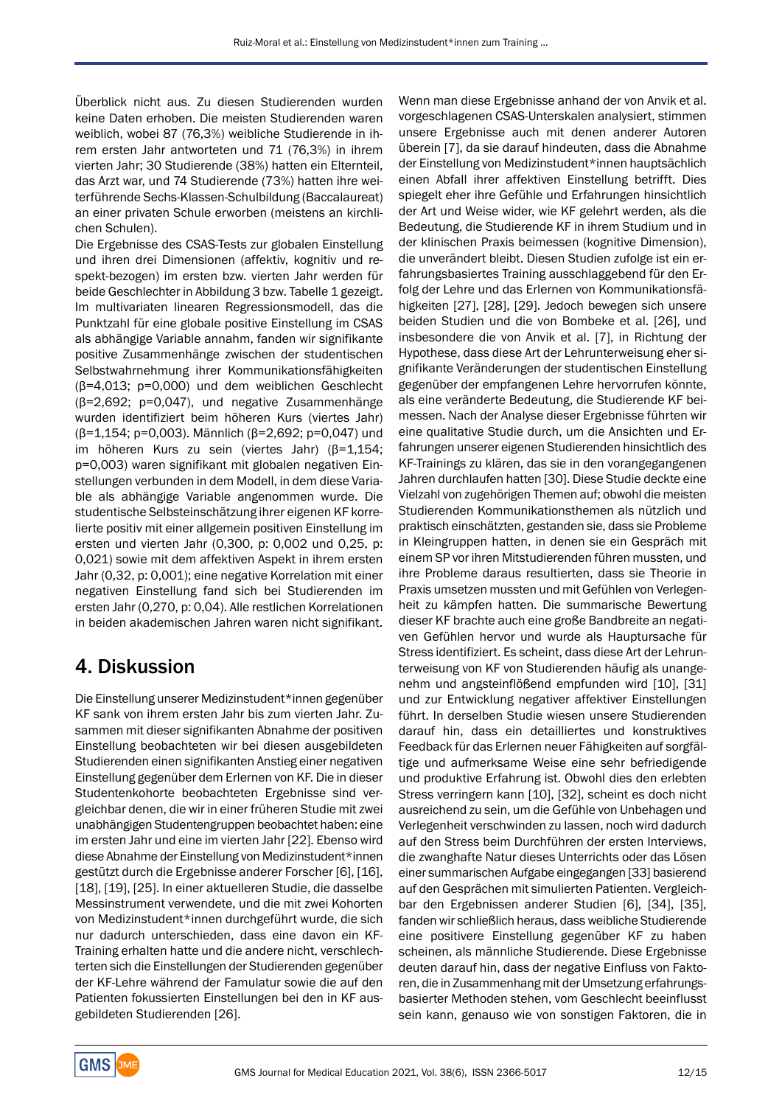Überblick nicht aus. Zu diesen Studierenden wurden keine Daten erhoben. Die meisten Studierenden waren weiblich, wobei 87 (76,3%) weibliche Studierende in ihrem ersten Jahr antworteten und 71 (76,3%) in ihrem vierten Jahr; 30 Studierende (38%) hatten ein Elternteil, das Arzt war, und 74 Studierende (73%) hatten ihre weiterführende Sechs-Klassen-Schulbildung (Baccalaureat) an einer privaten Schule erworben (meistens an kirchlichen Schulen).

Die Ergebnisse des CSAS-Tests zur globalen Einstellung und ihren drei Dimensionen (affektiv, kognitiv und respekt-bezogen) im ersten bzw. vierten Jahr werden für beide Geschlechter in Abbildung 3 bzw. Tabelle 1 gezeigt. Im multivariaten linearen Regressionsmodell, das die Punktzahl für eine globale positive Einstellung im CSAS als abhängige Variable annahm, fanden wir signifikante positive Zusammenhänge zwischen der studentischen Selbstwahrnehmung ihrer Kommunikationsfähigkeiten (β=4,013; p=0,000) und dem weiblichen Geschlecht (β=2,692; p=0,047), und negative Zusammenhänge wurden identifiziert beim höheren Kurs (viertes Jahr) (β=1,154; p=0,003). Männlich (β=2,692; p=0,047) und im höheren Kurs zu sein (viertes Jahr) (β=1,154; p=0,003) waren signifikant mit globalen negativen Einstellungen verbunden in dem Modell, in dem diese Variable als abhängige Variable angenommen wurde. Die studentische Selbsteinschätzung ihrer eigenen KF korrelierte positiv mit einer allgemein positiven Einstellung im ersten und vierten Jahr (0,300, p: 0,002 und 0,25, p: 0,021) sowie mit dem affektiven Aspekt in ihrem ersten Jahr (0,32, p: 0,001); eine negative Korrelation mit einer negativen Einstellung fand sich bei Studierenden im ersten Jahr (0,270, p: 0,04). Alle restlichen Korrelationen in beiden akademischen Jahren waren nicht signifikant.

## 4. Diskussion

Die Einstellung unserer Medizinstudent\*innen gegenüber KF sank von ihrem ersten Jahr bis zum vierten Jahr. Zusammen mit dieser signifikanten Abnahme der positiven Einstellung beobachteten wir bei diesen ausgebildeten Studierenden einen signifikanten Anstieg einer negativen Einstellung gegenüber dem Erlernen von KF. Die in dieser Studentenkohorte beobachteten Ergebnisse sind vergleichbar denen, die wir in einer früheren Studie mit zwei unabhängigen Studentengruppen beobachtet haben: eine im ersten Jahr und eine im vierten Jahr [22]. Ebenso wird diese Abnahme der Einstellung von Medizinstudent\*innen gestützt durch die Ergebnisse anderer Forscher [6], [16], [18], [19], [25]. In einer aktuelleren Studie, die dasselbe Messinstrument verwendete, und die mit zwei Kohorten von Medizinstudent\*innen durchgeführt wurde, die sich nur dadurch unterschieden, dass eine davon ein KF-Training erhalten hatte und die andere nicht, verschlechterten sich die Einstellungen der Studierenden gegenüber der KF-Lehre während der Famulatur sowie die auf den Patienten fokussierten Einstellungen bei den in KF ausgebildeten Studierenden [26].

Wenn man diese Ergebnisse anhand der von Anvik et al. vorgeschlagenen CSAS-Unterskalen analysiert, stimmen unsere Ergebnisse auch mit denen anderer Autoren überein [7], da sie darauf hindeuten, dass die Abnahme der Einstellung von Medizinstudent\*innen hauptsächlich einen Abfall ihrer affektiven Einstellung betrifft. Dies spiegelt eher ihre Gefühle und Erfahrungen hinsichtlich der Art und Weise wider, wie KF gelehrt werden, als die Bedeutung, die Studierende KF in ihrem Studium und in der klinischen Praxis beimessen (kognitive Dimension), die unverändert bleibt. Diesen Studien zufolge ist ein erfahrungsbasiertes Training ausschlaggebend für den Erfolg der Lehre und das Erlernen von Kommunikationsfähigkeiten [27], [28], [29]. Jedoch bewegen sich unsere beiden Studien und die von Bombeke et al. [26], und insbesondere die von Anvik et al. [7], in Richtung der Hypothese, dass diese Art der Lehrunterweisung eher signifikante Veränderungen der studentischen Einstellung gegenüber der empfangenen Lehre hervorrufen könnte, als eine veränderte Bedeutung, die Studierende KF beimessen. Nach der Analyse dieser Ergebnisse führten wir eine qualitative Studie durch, um die Ansichten und Erfahrungen unserer eigenen Studierenden hinsichtlich des KF-Trainings zu klären, das sie in den vorangegangenen Jahren durchlaufen hatten [30]. Diese Studie deckte eine Vielzahl von zugehörigen Themen auf; obwohl die meisten Studierenden Kommunikationsthemen als nützlich und praktisch einschätzten, gestanden sie, dass sie Probleme in Kleingruppen hatten, in denen sie ein Gespräch mit einem SP vor ihren Mitstudierenden führen mussten, und ihre Probleme daraus resultierten, dass sie Theorie in Praxis umsetzen mussten und mit Gefühlen von Verlegenheit zu kämpfen hatten. Die summarische Bewertung dieser KF brachte auch eine große Bandbreite an negativen Gefühlen hervor und wurde als Hauptursache für Stress identifiziert. Es scheint, dass diese Art der Lehrunterweisung von KF von Studierenden häufig als unangenehm und angsteinflößend empfunden wird [10], [31] und zur Entwicklung negativer affektiver Einstellungen führt. In derselben Studie wiesen unsere Studierenden darauf hin, dass ein detailliertes und konstruktives Feedback für das Erlernen neuer Fähigkeiten auf sorgfältige und aufmerksame Weise eine sehr befriedigende und produktive Erfahrung ist. Obwohl dies den erlebten Stress verringern kann [10], [32], scheint es doch nicht ausreichend zu sein, um die Gefühle von Unbehagen und Verlegenheit verschwinden zu lassen, noch wird dadurch auf den Stress beim Durchführen der ersten Interviews, die zwanghafte Natur dieses Unterrichts oder das Lösen einer summarischen Aufgabe eingegangen [33] basierend auf den Gesprächen mit simulierten Patienten. Vergleichbar den Ergebnissen anderer Studien [6], [34], [35], fanden wir schließlich heraus, dass weibliche Studierende eine positivere Einstellung gegenüber KF zu haben scheinen, als männliche Studierende. Diese Ergebnisse deuten darauf hin, dass der negative Einfluss von Faktoren, die in Zusammenhang mit der Umsetzung erfahrungsbasierter Methoden stehen, vom Geschlecht beeinflusst sein kann, genauso wie von sonstigen Faktoren, die in

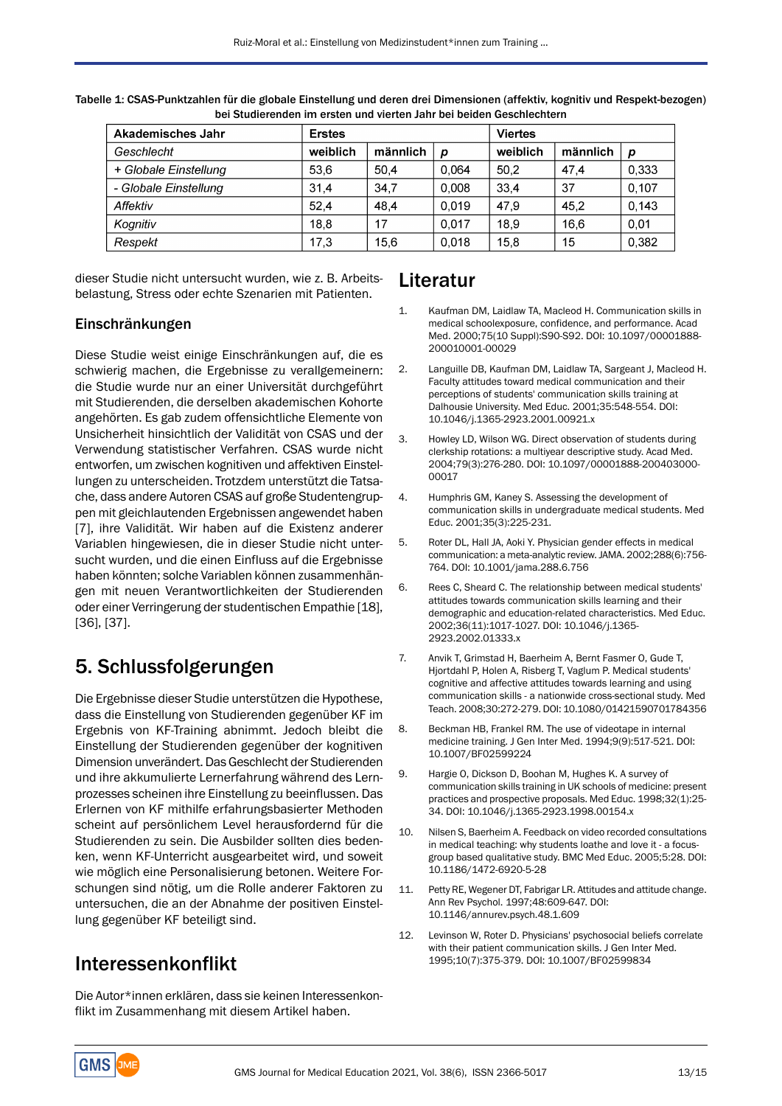| Akademisches Jahr     | <b>Erstes</b> |          |       | <b>Viertes</b> |          |       |
|-----------------------|---------------|----------|-------|----------------|----------|-------|
| Geschlecht            | weiblich      | männlich | p     | weiblich       | männlich | p     |
| + Globale Einstellung | 53.6          | 50.4     | 0.064 | 50.2           | 47.4     | 0.333 |
| - Globale Einstellung | 31.4          | 34.7     | 0.008 | 33.4           | 37       | 0,107 |
| Affektiv              | 52.4          | 48.4     | 0.019 | 47.9           | 45.2     | 0.143 |
| Kognitiv              | 18.8          | 17       | 0.017 | 18.9           | 16.6     | 0.01  |
| Respekt               | 17,3          | 15.6     | 0.018 | 15.8           | 15       | 0,382 |

Tabelle 1: CSAS-Punktzahlen für die globale Einstellung und deren drei Dimensionen (affektiv, kognitiv und Respekt-bezogen) bei Studierenden im ersten und vierten Jahr bei beiden Geschlechtern

dieser Studie nicht untersucht wurden, wie z. B. Arbeitsbelastung, Stress oder echte Szenarien mit Patienten.

### Einschränkungen

Diese Studie weist einige Einschränkungen auf, die es schwierig machen, die Ergebnisse zu verallgemeinern: die Studie wurde nur an einer Universität durchgeführt mit Studierenden, die derselben akademischen Kohorte angehörten. Es gab zudem offensichtliche Elemente von Unsicherheit hinsichtlich der Validität von CSAS und der Verwendung statistischer Verfahren. CSAS wurde nicht entworfen, um zwischen kognitiven und affektiven Einstellungen zu unterscheiden. Trotzdem unterstützt die Tatsache, dass andere Autoren CSAS auf große Studentengruppen mit gleichlautenden Ergebnissen angewendet haben [7], ihre Validität. Wir haben auf die Existenz anderer Variablen hingewiesen, die in dieser Studie nicht untersucht wurden, und die einen Einfluss auf die Ergebnisse haben könnten; solche Variablen können zusammenhängen mit neuen Verantwortlichkeiten der Studierenden oder einer Verringerung der studentischen Empathie [18], [36], [37].

# 5. Schlussfolgerungen

Die Ergebnisse dieser Studie unterstützen die Hypothese, dass die Einstellung von Studierenden gegenüber KF im Ergebnis von KF-Training abnimmt. Jedoch bleibt die Einstellung der Studierenden gegenüber der kognitiven Dimension unverändert. Das Geschlecht der Studierenden und ihre akkumulierte Lernerfahrung während des Lernprozesses scheinen ihre Einstellung zu beeinflussen. Das Erlernen von KF mithilfe erfahrungsbasierter Methoden scheint auf persönlichem Level herausfordernd für die Studierenden zu sein. Die Ausbilder sollten dies bedenken, wenn KF-Unterricht ausgearbeitet wird, und soweit wie möglich eine Personalisierung betonen. Weitere Forschungen sind nötig, um die Rolle anderer Faktoren zu untersuchen, die an der Abnahme der positiven Einstellung gegenüber KF beteiligt sind.

## Interessenkonflikt

Die Autor\*innen erklären, dass sie keinen Interessenkonflikt im Zusammenhang mit diesem Artikel haben.

## Literatur

- 1. Kaufman DM, Laidlaw TA, Macleod H. Communication skills in medical schoolexposure, confidence, and performance. Acad Med. 2000;75(10 Suppl):S90-S92. DOI: 10.1097/00001888- 200010001-00029
- 2. Languille DB, Kaufman DM, Laidlaw TA, Sargeant J, Macleod H. Faculty attitudes toward medical communication and their perceptions of students' communication skills training at Dalhousie University. Med Educ. 2001;35:548-554. DOI: 10.1046/j.1365-2923.2001.00921.x
- 3. Howley LD, Wilson WG. Direct observation of students during clerkship rotations: a multiyear descriptive study. Acad Med. 2004;79(3):276-280. DOI: 10.1097/00001888-200403000- 00017
- 4. Humphris GM, Kaney S. Assessing the development of communication skills in undergraduate medical students. Med Educ. 2001;35(3):225-231.
- 5. Roter DL, Hall JA, Aoki Y. Physician gender effects in medical communication: a meta-analytic review.JAMA. 2002;288(6):756- 764. DOI: 10.1001/jama.288.6.756
- 6. Rees C, Sheard C. The relationship between medical students' attitudes towards communication skills learning and their demographic and education-related characteristics. Med Educ. 2002;36(11):1017-1027. DOI: 10.1046/j.1365- 2923.2002.01333.x
- 7. Anvik T, Grimstad H, Baerheim A, Bernt Fasmer O, Gude T, Hjortdahl P, Holen A, Risberg T, Vaglum P. Medical students' cognitive and affective attitudes towards learning and using communication skills - a nationwide cross-sectional study. Med Teach. 2008;30:272-279. DOI: 10.1080/01421590701784356
- 8. Beckman HB, Frankel RM. The use of videotape in internal medicine training. J Gen Inter Med. 1994;9(9):517-521. DOI: 10.1007/BF02599224
- 9. Hargie O, Dickson D, Boohan M, Hughes K. A survey of communication skills training in UK schools of medicine: present practices and prospective proposals. Med Educ. 1998;32(1):25- 34. DOI: 10.1046/j.1365-2923.1998.00154.x
- 10. Nilsen S, Baerheim A. Feedback on video recorded consultations in medical teaching: why students loathe and love it - a focusgroup based qualitative study. BMC Med Educ. 2005;5:28. DOI: 10.1186/1472-6920-5-28
- 11. Petty RE, Wegener DT, Fabrigar LR. Attitudes and attitude change. Ann Rev Psychol. 1997;48:609-647. DOI: 10.1146/annurev.psych.48.1.609
- 12. Levinson W, Roter D. Physicians' psychosocial beliefs correlate with their patient communication skills. J Gen Inter Med. 1995;10(7):375-379. DOI: 10.1007/BF02599834

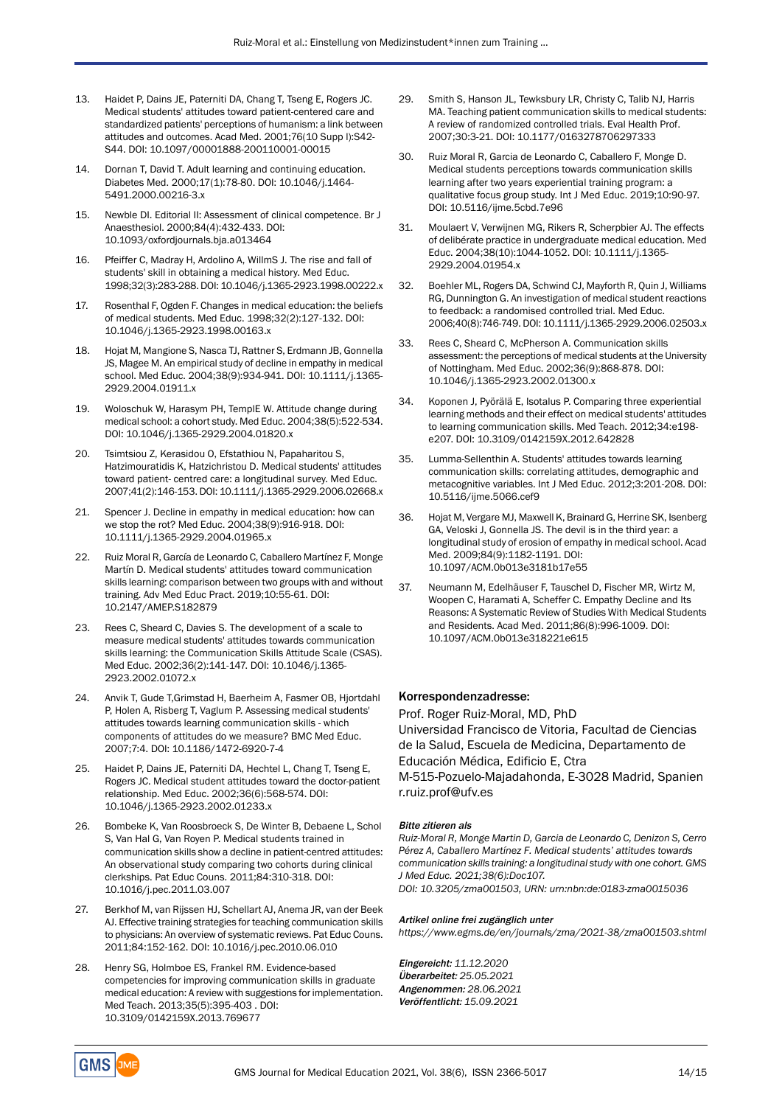- 13. Haidet P, Dains JE, Paterniti DA, Chang T, Tseng E, Rogers JC. Medical students' attitudes toward patient-centered care and standardized patients' perceptions of humanism: a link between attitudes and outcomes. Acad Med. 2001;76(10 Supp l):S42- S44. DOI: 10.1097/00001888-200110001-00015
- 14. Dornan T, David T. Adult learning and continuing education. Diabetes Med. 2000;17(1):78-80. DOI: 10.1046/j.1464- 5491.2000.00216-3.x
- 15. Newble DI. Editorial II: Assessment of clinical competence. Br J Anaesthesiol. 2000;84(4):432-433. DOI: 10.1093/oxfordjournals.bja.a013464
- 16. Pfeiffer C, Madray H, Ardolino A, WillmS J. The rise and fall of students' skill in obtaining a medical history. Med Educ. 1998;32(3):283-288. DOI: 10.1046/j.1365-2923.1998.00222.x
- 17. Rosenthal F, Ogden F. Changes in medical education: the beliefs of medical students. Med Educ. 1998;32(2):127-132. DOI: 10.1046/j.1365-2923.1998.00163.x
- 18. Hojat M, Mangione S, Nasca TJ, Rattner S, Erdmann JB, Gonnella JS, Magee M. An empirical study of decline in empathy in medical school. Med Educ. 2004;38(9):934-941. DOI: 10.1111/j.1365- 2929.2004.01911.x
- 19. Woloschuk W, Harasym PH, TemplE W. Attitude change during medical school: a cohort study. Med Educ. 2004;38(5):522-534. DOI: 10.1046/j.1365-2929.2004.01820.x
- 20. Tsimtsiou Z, Kerasidou O, Efstathiou N, Papaharitou S, Hatzimouratidis K, Hatzichristou D. Medical students' attitudes toward patient- centred care: a longitudinal survey. Med Educ. 2007;41(2):146-153. DOI: 10.1111/j.1365-2929.2006.02668.x
- 21. Spencer J. Decline in empathy in medical education: how can we stop the rot? Med Educ. 2004;38(9):916-918. DOI: 10.1111/j.1365-2929.2004.01965.x
- 22. Ruiz Moral R, García de Leonardo C, Caballero Martínez F, Monge Martín D. Medical students' attitudes toward communication skills learning: comparison between two groups with and without training. Adv Med Educ Pract. 2019;10:55-61. DOI: 10.2147/AMEP.S182879
- 23. Rees C, Sheard C, Davies S. The development of a scale to measure medical students' attitudes towards communication skills learning: the Communication Skills Attitude Scale (CSAS). Med Educ. 2002;36(2):141-147. DOI: 10.1046/j.1365- 2923.2002.01072.x
- 24. Anvik T, Gude T,Grimstad H, Baerheim A, Fasmer OB, Hjortdahl P, Holen A, Risberg T, Vaglum P. Assessing medical students' attitudes towards learning communication skills - which components of attitudes do we measure? BMC Med Educ. 2007;7:4. DOI: 10.1186/1472-6920-7-4
- 25. Haidet P, Dains JE, Paterniti DA, Hechtel L, Chang T, Tseng E, Rogers JC. Medical student attitudes toward the doctor-patient relationship. Med Educ. 2002;36(6):568-574. DOI: 10.1046/j.1365-2923.2002.01233.x
- 26. Bombeke K, Van Roosbroeck S, De Winter B, Debaene L, Schol S, Van Hal G, Van Royen P. Medical students trained in communication skills show a decline in patient-centred attitudes: An observational study comparing two cohorts during clinical clerkships. Pat Educ Couns. 2011;84:310-318. DOI: 10.1016/j.pec.2011.03.007
- 27. Berkhof M, van Rijssen HJ, Schellart AJ, Anema JR, van der Beek AJ. Effective training strategies for teaching communication skills to physicians: An overview of systematic reviews. Pat Educ Couns. 2011;84:152-162. DOI: 10.1016/j.pec.2010.06.010
- 28. Henry SG, Holmboe ES, Frankel RM. Evidence-based competencies for improving communication skills in graduate medical education: A review with suggestions for implementation. Med Teach. 2013;35(5):395-403 . DOI: 10.3109/0142159X.2013.769677
- 29. Smith S, Hanson JL, Tewksbury LR, Christy C, Talib NJ, Harris MA. Teaching patient communication skills to medical students: A review of randomized controlled trials. Eval Health Prof. 2007;30:3-21. DOI: 10.1177/0163278706297333
- 30. Ruiz Moral R, Garcia de Leonardo C, Caballero F, Monge D. Medical students perceptions towards communication skills learning after two years experiential training program: a qualitative focus group study. Int J Med Educ. 2019;10:90-97. DOI: 10.5116/ijme.5cbd.7e96
- 31. Moulaert V, Verwijnen MG, Rikers R, Scherpbier AJ. The effects of delibérate practice in undergraduate medical education. Med Educ. 2004;38(10):1044-1052. DOI: 10.1111/j.1365- 2929.2004.01954.x
- 32. Boehler ML, Rogers DA, Schwind CJ, Mayforth R, Quin J, Williams RG, Dunnington G. An investigation of medical student reactions to feedback: a randomised controlled trial. Med Educ. 2006;40(8):746-749. DOI: 10.1111/j.1365-2929.2006.02503.x
- 33. Rees C, Sheard C, McPherson A. Communication skills assessment: the perceptions of medical students at the University of Nottingham. Med Educ. 2002;36(9):868-878. DOI: 10.1046/j.1365-2923.2002.01300.x
- 34. Koponen J, Pyörälä E, Isotalus P. Comparing three experiential learning methods and their effect on medical students' attitudes to learning communication skills. Med Teach. 2012;34:e198 e207. DOI: 10.3109/0142159X.2012.642828
- 35. Lumma-Sellenthin A. Students' attitudes towards learning communication skills: correlating attitudes, demographic and metacognitive variables. Int J Med Educ. 2012;3:201-208. DOI: 10.5116/ijme.5066.cef9
- 36. Hojat M, Vergare MJ, Maxwell K, Brainard G, Herrine SK, Isenberg GA, Veloski J, Gonnella JS. The devil is in the third year: a longitudinal study of erosion of empathy in medical school. Acad Med. 2009;84(9):1182-1191. DOI: 10.1097/ACM.0b013e3181b17e55
- 37. Neumann M, Edelhäuser F, Tauschel D, Fischer MR, Wirtz M, Woopen C, Haramati A, Scheffer C. Empathy Decline and Its Reasons: A Systematic Review of Studies With Medical Students and Residents. Acad Med. 2011;86(8):996-1009. DOI: 10.1097/ACM.0b013e318221e615

### Korrespondenzadresse:

Prof. Roger Ruiz-Moral, MD, PhD Universidad Francisco de Vitoria, Facultad de Ciencias de la Salud, Escuela de Medicina, Departamento de Educación Médica, Edificio E, Ctra

M-515-Pozuelo-Majadahonda, E-3028 Madrid, Spanien r.ruiz.prof@ufv.es

#### Bitte zitieren als

*Ruiz-Moral R, Monge Martin D, Garcia de Leonardo C, Denizon S, Cerro Pérez A, Caballero Martínez F. Medical students' attitudes towards communication skills training: a longitudinal study with one cohort. GMS J Med Educ. 2021;38(6):Doc107. DOI: 10.3205/zma001503, URN: urn:nbn:de:0183-zma0015036*

Artikel online frei zugänglich unter

*https://www.egms.de/en/journals/zma/2021-38/zma001503.shtml*

Eingereicht: *11.12.2020* Überarbeitet: *25.05.2021* Angenommen: *28.06.2021* Veröffentlicht: *15.09.2021*